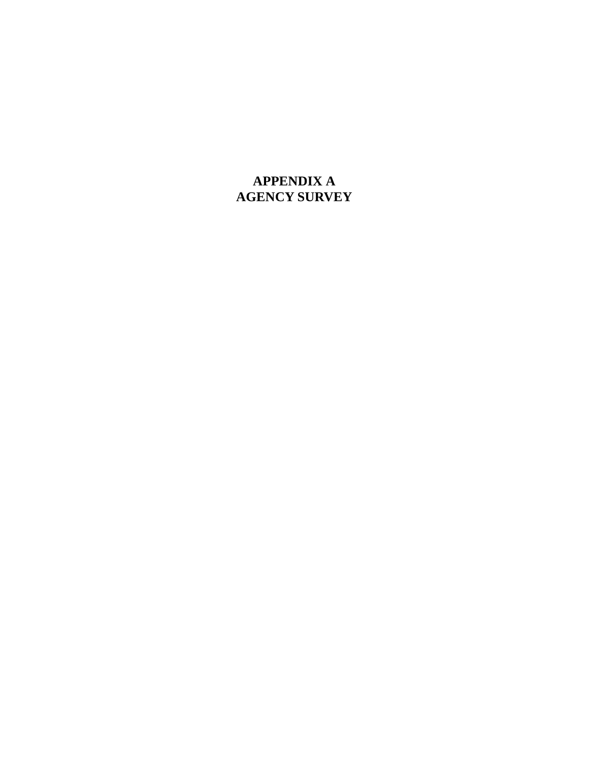# **APPENDIX A AGENCY SURVEY**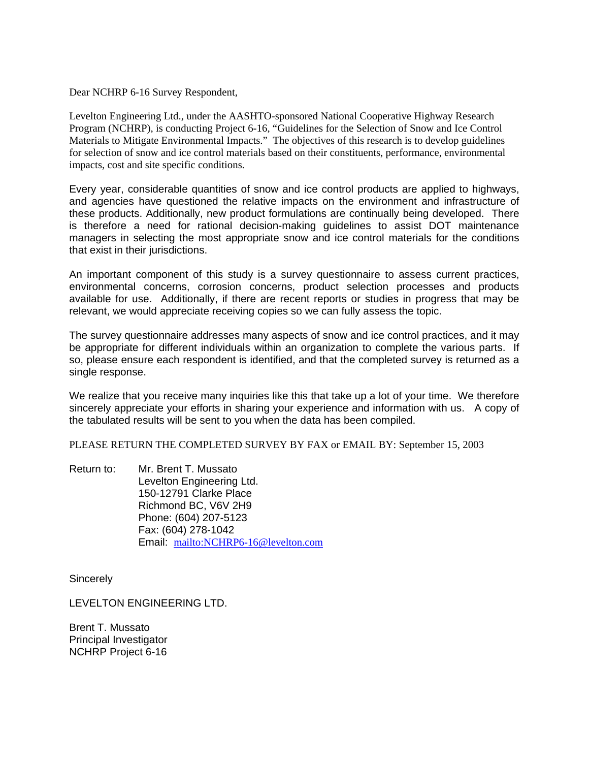Dear NCHRP 6-16 Survey Respondent,

Levelton Engineering Ltd., under the AASHTO-sponsored National Cooperative Highway Research Program (NCHRP), is conducting Project 6-16, "Guidelines for the Selection of Snow and Ice Control Materials to Mitigate Environmental Impacts." The objectives of this research is to develop guidelines for selection of snow and ice control materials based on their constituents, performance, environmental impacts, cost and site specific conditions.

Every year, considerable quantities of snow and ice control products are applied to highways, and agencies have questioned the relative impacts on the environment and infrastructure of these products. Additionally, new product formulations are continually being developed. There is therefore a need for rational decision-making guidelines to assist DOT maintenance managers in selecting the most appropriate snow and ice control materials for the conditions that exist in their jurisdictions.

An important component of this study is a survey questionnaire to assess current practices, environmental concerns, corrosion concerns, product selection processes and products available for use. Additionally, if there are recent reports or studies in progress that may be relevant, we would appreciate receiving copies so we can fully assess the topic.

The survey questionnaire addresses many aspects of snow and ice control practices, and it may be appropriate for different individuals within an organization to complete the various parts. If so, please ensure each respondent is identified, and that the completed survey is returned as a single response.

We realize that you receive many inquiries like this that take up a lot of your time. We therefore sincerely appreciate your efforts in sharing your experience and information with us. A copy of the tabulated results will be sent to you when the data has been compiled.

PLEASE RETURN THE COMPLETED SURVEY BY FAX or EMAIL BY: September 15, 2003

Return to: Mr. Brent T. Mussato Levelton Engineering Ltd. 150-12791 Clarke Place Richmond BC, V6V 2H9 Phone: (604) 207-5123 Fax: (604) 278-1042 Email: <mailto:NCHRP6-16@levelton.com>

**Sincerely** 

LEVELTON ENGINEERING LTD.

Brent T. Mussato Principal Investigator NCHRP Project 6-16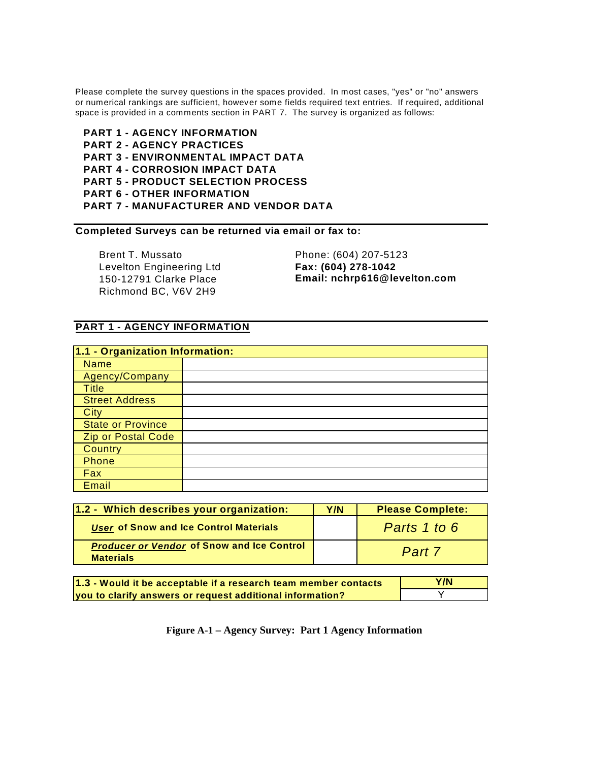Please complete the survey questions in the spaces provided. In most cases, "yes" or "no" answers or numerical rankings are sufficient, however some fields required text entries. If required, additional space is provided in a comments section in PART 7. The survey is organized as follows:

**PART 1 - AGENCY INFORMATION PART 2 - AGENCY PRACTICES PART 3 - ENVIRONMENTAL IMPACT DATA PART 4 - CORROSION IMPACT DATA PART 5 - PRODUCT SELECTION PROCESS PART 6 - OTHER INFORMATION PART 7 - MANUFACTURER AND VENDOR DATA**

**Completed Surveys can be returned via email or fax to:**

Brent T. Mussato Phone: (604) 207-5123 Levelton Engineering Ltd **Fax: (604) 278-1042** Richmond BC, V6V 2H9

150-12791 Clarke Place **Email: nchrp616@levelton.com**

#### **PART 1 - AGENCY INFORMATION**

| 1.1 - Organization Information: |  |
|---------------------------------|--|
| <b>Name</b>                     |  |
| Agency/Company                  |  |
| <b>Title</b>                    |  |
| <b>Street Address</b>           |  |
| City                            |  |
| <b>State or Province</b>        |  |
| <b>Zip or Postal Code</b>       |  |
| <b>Country</b>                  |  |
| Phone                           |  |
| Fax                             |  |
| Email                           |  |

| 1.2 - Which describes your organization:                              | Y/N | <b>Please Complete:</b> |
|-----------------------------------------------------------------------|-----|-------------------------|
| User of Snow and Ice Control Materials                                |     | Parts 1 to 6            |
| <b>Producer or Vendor of Snow and Ice Control</b><br><b>Materials</b> |     | Part 7                  |

| 1.3 - Would it be acceptable if a research team member contacts | Y/N |
|-----------------------------------------------------------------|-----|
| you to clarify answers or request additional information?       |     |

**Figure A-1 – Agency Survey: Part 1 Agency Information**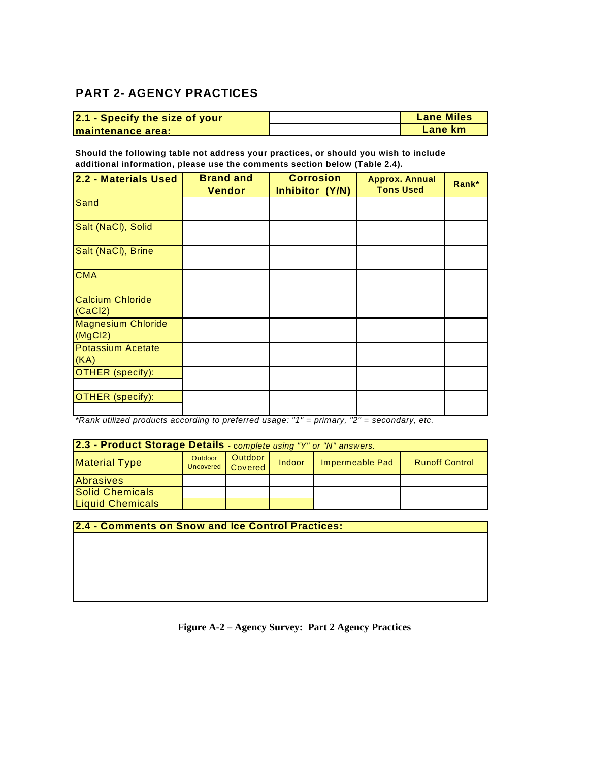### **PART 2- AGENCY PRACTICES**

| 2.1 - Specify the size of your | <b>Lane Miles</b> |
|--------------------------------|-------------------|
| Imaintenance area:             | Lane km           |

**Should the following table not address your practices, or should you wish to include additional information, please use the comments section below (Table 2.4).**

| 2.2 - Materials Used                 | <b>Brand and</b><br><b>Vendor</b> | <b>Corrosion</b><br>Inhibitor (Y/N) | <b>Approx. Annual</b><br><b>Tons Used</b> | Rank* |
|--------------------------------------|-----------------------------------|-------------------------------------|-------------------------------------------|-------|
| Sand                                 |                                   |                                     |                                           |       |
| Salt (NaCl), Solid                   |                                   |                                     |                                           |       |
| Salt (NaCl), Brine                   |                                   |                                     |                                           |       |
| <b>CMA</b>                           |                                   |                                     |                                           |       |
| <b>Calcium Chloride</b><br>(CaCl2)   |                                   |                                     |                                           |       |
| <b>Magnesium Chloride</b><br>(MgCl2) |                                   |                                     |                                           |       |
| <b>Potassium Acetate</b><br>(KA)     |                                   |                                     |                                           |       |
| OTHER (specify):                     |                                   |                                     |                                           |       |
| <b>OTHER</b> (specify):              |                                   |                                     |                                           |       |

*\*Rank utilized products according to preferred usage: "1" = primary, "2" = secondary, etc.* 

| 2.3 - Product Storage Details - complete using "Y" or "N" answers. |         |                              |        |                 |                       |
|--------------------------------------------------------------------|---------|------------------------------|--------|-----------------|-----------------------|
| <b>Material Type</b>                                               | Outdoor | Outdoor<br>Uncovered Covered | Indoor | Impermeable Pad | <b>Runoff Control</b> |
| <b>Abrasives</b>                                                   |         |                              |        |                 |                       |
| Solid Chemicals                                                    |         |                              |        |                 |                       |
| <b>Liquid Chemicals</b>                                            |         |                              |        |                 |                       |

**2.4 - Comments on Snow and Ice Control Practices:**

**Figure A-2 – Agency Survey: Part 2 Agency Practices**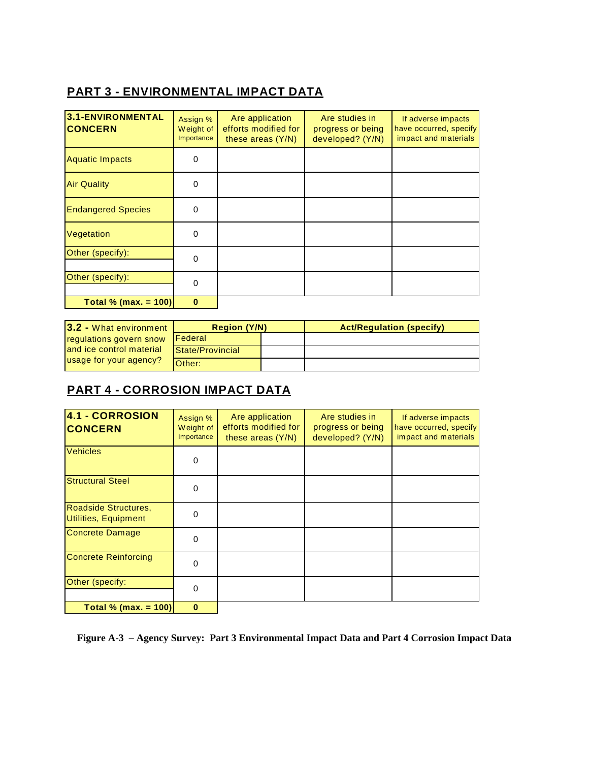# **PART 3 - ENVIRONMENTAL IMPACT DATA**

| 3.1-ENVIRONMENTAL<br><b>CONCERN</b> | Assign %<br>Weight of<br>Importance | Are application<br>efforts modified for<br>these areas $(Y/N)$ | Are studies in<br>progress or being<br>developed? (Y/N) | If adverse impacts<br>have occurred, specify<br>impact and materials |
|-------------------------------------|-------------------------------------|----------------------------------------------------------------|---------------------------------------------------------|----------------------------------------------------------------------|
| <b>Aquatic Impacts</b>              | $\Omega$                            |                                                                |                                                         |                                                                      |
| <b>Air Quality</b>                  | 0                                   |                                                                |                                                         |                                                                      |
| <b>Endangered Species</b>           | $\Omega$                            |                                                                |                                                         |                                                                      |
| Vegetation                          | $\Omega$                            |                                                                |                                                         |                                                                      |
| Other (specify):                    | $\Omega$                            |                                                                |                                                         |                                                                      |
| Other (specify):                    | $\Omega$                            |                                                                |                                                         |                                                                      |
| Total % (max. = $100$ )             | $\bf{0}$                            |                                                                |                                                         |                                                                      |

| 3.2 - What environment   | <b>Region (Y/N)</b> |  | <b>Act/Regulation (specify)</b> |
|--------------------------|---------------------|--|---------------------------------|
| regulations govern snow  | <b>IFederal</b>     |  |                                 |
| and ice control material | State/Provincial    |  |                                 |
| usage for your agency?   | <b>Other:</b>       |  |                                 |

### **PART 4 - CORROSION IMPACT DATA**

| 4.1 - CORROSION<br><b>CONCERN</b>            | Assign %<br>Weight of<br>Importance | Are application<br>efforts modified for<br>these areas $(Y/N)$ | Are studies in<br>progress or being<br>developed? (Y/N) | If adverse impacts<br>have occurred, specify<br>impact and materials |
|----------------------------------------------|-------------------------------------|----------------------------------------------------------------|---------------------------------------------------------|----------------------------------------------------------------------|
| <b>Vehicles</b>                              | $\Omega$                            |                                                                |                                                         |                                                                      |
| <b>Structural Steel</b>                      | $\Omega$                            |                                                                |                                                         |                                                                      |
| Roadside Structures,<br>Utilities, Equipment | $\Omega$                            |                                                                |                                                         |                                                                      |
| Concrete Damage                              | $\Omega$                            |                                                                |                                                         |                                                                      |
| <b>Concrete Reinforcing</b>                  | $\Omega$                            |                                                                |                                                         |                                                                      |
| Other (specify:                              | $\Omega$                            |                                                                |                                                         |                                                                      |
| Total % (max. = $100$ )                      | $\bf{0}$                            |                                                                |                                                         |                                                                      |

**Figure A-3 – Agency Survey: Part 3 Environmental Impact Data and Part 4 Corrosion Impact Data**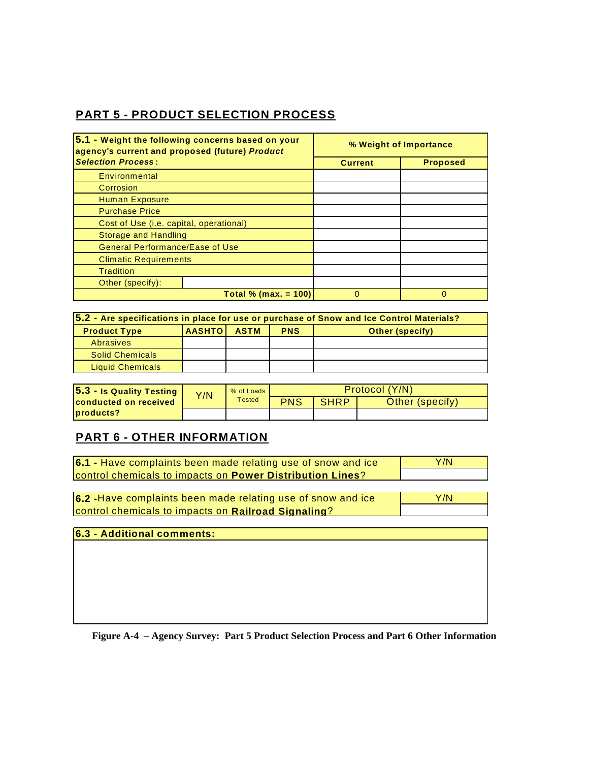### **PART 5 - PRODUCT SELECTION PROCESS**

| 5.1 - Weight the following concerns based on your<br>agency's current and proposed (future) Product |                         | % Weight of Importance |                 |  |  |
|-----------------------------------------------------------------------------------------------------|-------------------------|------------------------|-----------------|--|--|
| <b>Selection Process:</b>                                                                           |                         | <b>Current</b>         | <b>Proposed</b> |  |  |
| Environmental                                                                                       |                         |                        |                 |  |  |
| Corrosion                                                                                           |                         |                        |                 |  |  |
| <b>Human Exposure</b>                                                                               |                         |                        |                 |  |  |
| <b>Purchase Price</b>                                                                               |                         |                        |                 |  |  |
| Cost of Use (i.e. capital, operational)                                                             |                         |                        |                 |  |  |
| <b>Storage and Handling</b>                                                                         |                         |                        |                 |  |  |
| <b>General Performance/Ease of Use</b>                                                              |                         |                        |                 |  |  |
| <b>Climatic Requirements</b>                                                                        |                         |                        |                 |  |  |
| <b>Tradition</b>                                                                                    |                         |                        |                 |  |  |
| Other (specify):                                                                                    |                         |                        |                 |  |  |
|                                                                                                     | Total % (max. = $100$ ) | O                      | $\Omega$        |  |  |

| 5.2 - Are specifications in place for use or purchase of Snow and Ice Control Materials? |                                                                       |  |  |  |  |
|------------------------------------------------------------------------------------------|-----------------------------------------------------------------------|--|--|--|--|
| <b>Product Type</b>                                                                      | <b>AASHTOI</b><br><b>PNS</b><br><b>ASTM</b><br><b>Other (specify)</b> |  |  |  |  |
| Abrasives                                                                                |                                                                       |  |  |  |  |
| <b>Solid Chemicals</b>                                                                   |                                                                       |  |  |  |  |
| <b>Liquid Chemicals</b>                                                                  |                                                                       |  |  |  |  |

| 5.3 - Is Quality Testing     | Y/N | % of Loads<br>Tested | Protocol (Y/N) |             |                 |
|------------------------------|-----|----------------------|----------------|-------------|-----------------|
| <b>conducted on received</b> |     |                      | <b>PNS</b>     | <b>SHRP</b> | Other (specify) |
| products?                    |     |                      |                |             |                 |

### **PART 6 - OTHER INFORMATION**

| 6.1 - Have complaints been made relating use of snow and ice     | Y/N |
|------------------------------------------------------------------|-----|
| <b>Control chemicals to impacts on Power Distribution Lines?</b> |     |

**6.2 -**Have complaints been made relating use of snow and ice control chemicals to impacts on **Railroad Signaling**? Y/N

**6.3 - Additional comments:**

**Figure A-4 – Agency Survey: Part 5 Product Selection Process and Part 6 Other Information**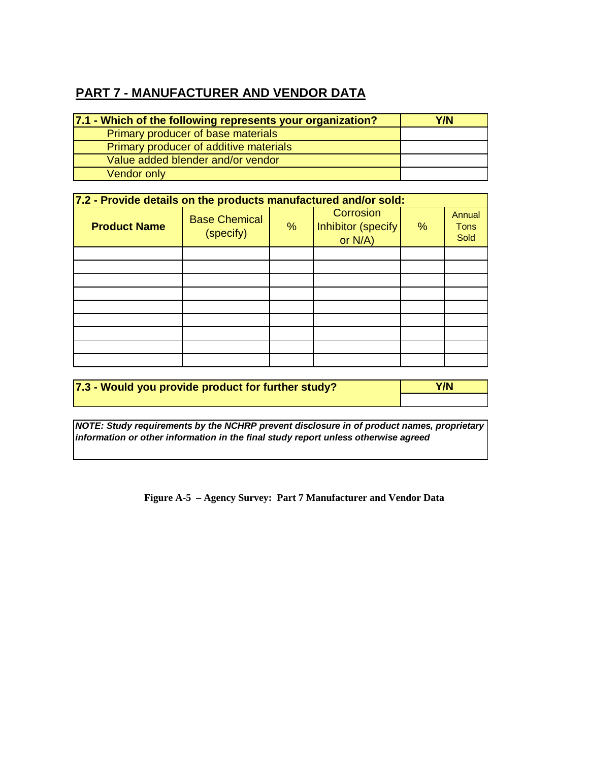# **PART 7 - MANUFACTURER AND VENDOR DATA**

| 7.1 - Which of the following represents your organization? | Y/N |
|------------------------------------------------------------|-----|
| Primary producer of base materials                         |     |
| Primary producer of additive materials                     |     |
| Value added blender and/or vendor                          |     |
| <b>Vendor only</b>                                         |     |

| 7.2 - Provide details on the products manufactured and/or sold: |                                   |   |                                             |      |                               |  |  |  |  |  |  |  |  |  |
|-----------------------------------------------------------------|-----------------------------------|---|---------------------------------------------|------|-------------------------------|--|--|--|--|--|--|--|--|--|
| <b>Product Name</b>                                             | <b>Base Chemical</b><br>(specify) | % | Corrosion<br>Inhibitor (specify)<br>or N/A) | $\%$ | Annual<br><b>Tons</b><br>Sold |  |  |  |  |  |  |  |  |  |
|                                                                 |                                   |   |                                             |      |                               |  |  |  |  |  |  |  |  |  |
|                                                                 |                                   |   |                                             |      |                               |  |  |  |  |  |  |  |  |  |
|                                                                 |                                   |   |                                             |      |                               |  |  |  |  |  |  |  |  |  |
|                                                                 |                                   |   |                                             |      |                               |  |  |  |  |  |  |  |  |  |
|                                                                 |                                   |   |                                             |      |                               |  |  |  |  |  |  |  |  |  |
|                                                                 |                                   |   |                                             |      |                               |  |  |  |  |  |  |  |  |  |
|                                                                 |                                   |   |                                             |      |                               |  |  |  |  |  |  |  |  |  |
|                                                                 |                                   |   |                                             |      |                               |  |  |  |  |  |  |  |  |  |
|                                                                 |                                   |   |                                             |      |                               |  |  |  |  |  |  |  |  |  |

| 7.3 - Would you provide product for further study? | Y/N |
|----------------------------------------------------|-----|
|                                                    |     |

*NOTE: Study requirements by the NCHRP prevent disclosure in of product names, proprietary information or other information in the final study report unless otherwise agreed* 

**Figure A-5 – Agency Survey: Part 7 Manufacturer and Vendor Data**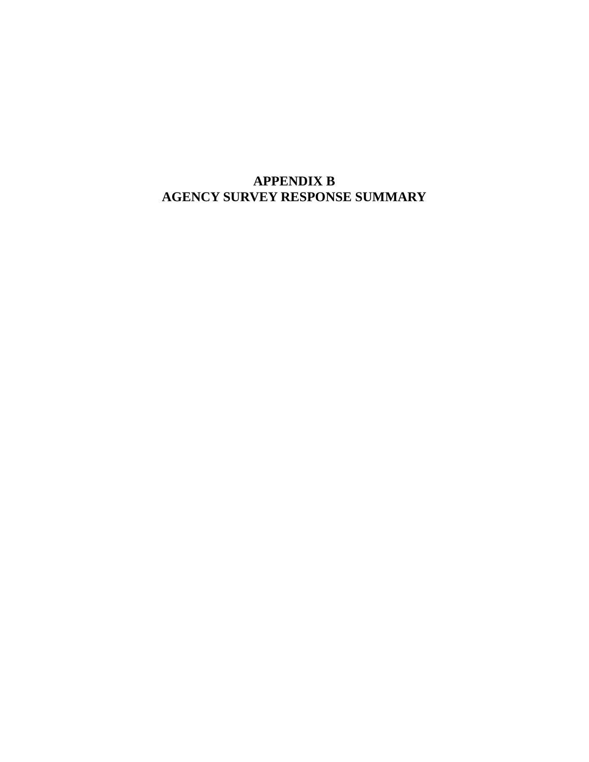# **APPENDIX B AGENCY SURVEY RESPONSE SUMMARY**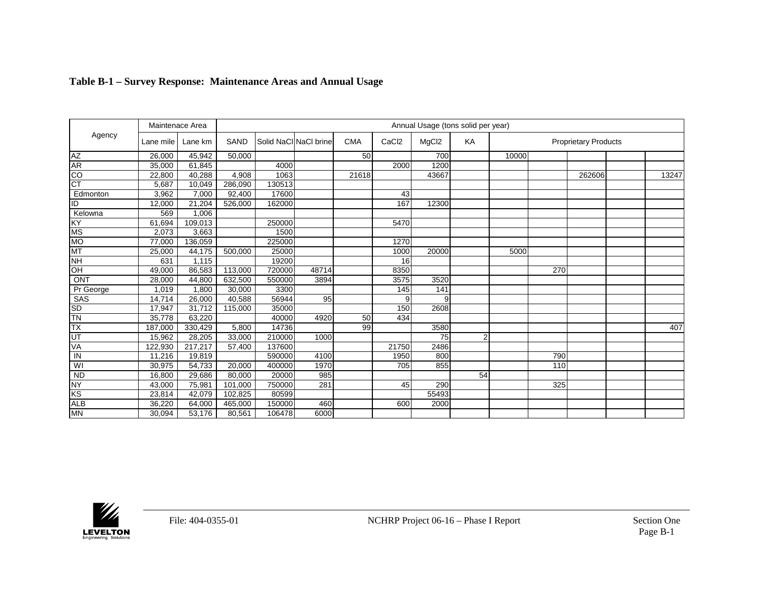|            |           | Maintenace Area |         |        |                       |            |                  |                   | Annual Usage (tons solid per year) |       |     |                             |       |
|------------|-----------|-----------------|---------|--------|-----------------------|------------|------------------|-------------------|------------------------------------|-------|-----|-----------------------------|-------|
| Agency     | Lane mile | Lane km         | SAND    |        | Solid NaCI NaCI brine | <b>CMA</b> | CaC <sub>2</sub> | MgCl <sub>2</sub> | KA                                 |       |     | <b>Proprietary Products</b> |       |
| <b>AZ</b>  | 26,000    | 45,942          | 50,000  |        |                       | 50         |                  | 700               |                                    | 10000 |     |                             |       |
| AR         | 35,000    | 61,845          |         | 4000   |                       |            | 2000             | 1200              |                                    |       |     |                             |       |
| co         | 22,800    | 40,288          | 4,908   | 1063   |                       | 21618      |                  | 43667             |                                    |       |     | 262606                      | 13247 |
| <b>CT</b>  | 5,687     | 10,049          | 286,090 | 130513 |                       |            |                  |                   |                                    |       |     |                             |       |
| Edmonton   | 3,962     | 7,000           | 92,400  | 17600  |                       |            | 43               |                   |                                    |       |     |                             |       |
| ID         | 12,000    | 21,204          | 526,000 | 162000 |                       |            | 167              | 12300             |                                    |       |     |                             |       |
| Kelowna    | 569       | 1,006           |         |        |                       |            |                  |                   |                                    |       |     |                             |       |
| KY         | 61,694    | 109,013         |         | 250000 |                       |            | 5470             |                   |                                    |       |     |                             |       |
| <b>MS</b>  | 2,073     | 3,663           |         | 1500   |                       |            |                  |                   |                                    |       |     |                             |       |
| <b>MO</b>  | 77,000    | 136,059         |         | 225000 |                       |            | 1270             |                   |                                    |       |     |                             |       |
| <b>MT</b>  | 25,000    | 44,175          | 500,000 | 25000  |                       |            | 1000             | 20000             |                                    | 5000  |     |                             |       |
| <b>NH</b>  | 631       | 1,115           |         | 19200  |                       |            | 16               |                   |                                    |       |     |                             |       |
| HO         | 49,000    | 86,583          | 113,000 | 720000 | 48714                 |            | 8350             |                   |                                    |       | 270 |                             |       |
| <b>ONT</b> | 28,000    | 44,800          | 632,500 | 550000 | 3894                  |            | 3575             | 3520              |                                    |       |     |                             |       |
| Pr George  | 1,019     | 1,800           | 30,000  | 3300   |                       |            | 145              | 141               |                                    |       |     |                             |       |
| SAS        | 14,714    | 26,000          | 40,588  | 56944  | 95                    |            | 9                | 9                 |                                    |       |     |                             |       |
| <b>SD</b>  | 17,947    | 31,712          | 115,000 | 35000  |                       |            | 150              | 2608              |                                    |       |     |                             |       |
| TN         | 35,778    | 63,220          |         | 40000  | 4920                  | 50         | 434              |                   |                                    |       |     |                             |       |
| <b>TX</b>  | 187,000   | 330,429         | 5,800   | 14736  |                       | 99         |                  | 3580              |                                    |       |     |                             | 407   |
| UT         | 15,962    | 28,205          | 33,000  | 210000 | 1000                  |            |                  | 75                | $\overline{2}$                     |       |     |                             |       |
| VA         | 122,930   | 217,217         | 57,400  | 137600 |                       |            | 21750            | 2486              |                                    |       |     |                             |       |
| IN         | 11,216    | 19,819          |         | 590000 | 4100                  |            | 1950             | 800               |                                    |       | 790 |                             |       |
| WI         | 30,975    | 54,733          | 20,000  | 400000 | 1970                  |            | 705              | 855               |                                    |       | 110 |                             |       |
| <b>ND</b>  | 16,800    | 29,686          | 80,000  | 20000  | 985                   |            |                  |                   | 54                                 |       |     |                             |       |
| <b>NY</b>  | 43,000    | 75,981          | 101,000 | 750000 | 281                   |            | 45               | 290               |                                    |       | 325 |                             |       |
| KS         | 23,814    | 42,079          | 102,825 | 80599  |                       |            |                  | 55493             |                                    |       |     |                             |       |
| <b>ALB</b> | 36,220    | 64,000          | 465,000 | 150000 | 460                   |            | 600              | 2000              |                                    |       |     |                             |       |
| <b>MN</b>  | 30,094    | 53,176          | 80,561  | 106478 | 6000                  |            |                  |                   |                                    |       |     |                             |       |

### **Table B-1 – Survey Response: Maintenance Areas and Annual Usage**

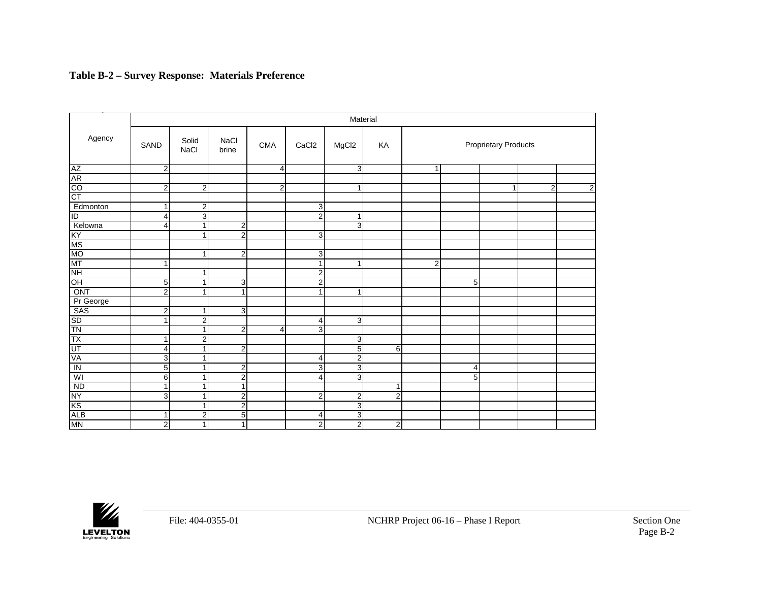### **Table B-2 – Survey Response: Materials Preference**

|                                       |                |                         |                      |                |                   | Material          |                |                |                             |   |                |   |  |  |  |  |  |
|---------------------------------------|----------------|-------------------------|----------------------|----------------|-------------------|-------------------|----------------|----------------|-----------------------------|---|----------------|---|--|--|--|--|--|
| Agency                                | SAND           | Solid<br><b>NaCl</b>    | <b>NaCl</b><br>brine | <b>CMA</b>     | CaCl <sub>2</sub> | MgCl <sub>2</sub> | KA             |                | <b>Proprietary Products</b> |   |                |   |  |  |  |  |  |
| AZ<br>AR<br>CO<br>CT                  | $\overline{2}$ |                         |                      | $\overline{4}$ |                   | 3                 |                | $\mathbf{1}$   |                             |   |                |   |  |  |  |  |  |
|                                       |                |                         |                      |                |                   |                   |                |                |                             |   |                |   |  |  |  |  |  |
|                                       | 2              | $\overline{2}$          |                      | $\overline{2}$ |                   | $\mathbf{1}$      |                |                |                             | 1 | $\overline{2}$ | 2 |  |  |  |  |  |
|                                       |                |                         |                      |                |                   |                   |                |                |                             |   |                |   |  |  |  |  |  |
| Edmonton                              | 1              | $\overline{\mathbf{c}}$ |                      |                | 3                 |                   |                |                |                             |   |                |   |  |  |  |  |  |
| $\overline{\mathsf{ID}}$              | 4              | 3                       |                      |                | $\overline{2}$    | $\mathbf{1}$      |                |                |                             |   |                |   |  |  |  |  |  |
| Kelowna                               | 4              | 1                       | $\overline{2}$       |                |                   | ω                 |                |                |                             |   |                |   |  |  |  |  |  |
| KY<br>MS<br>MO<br>MT<br>NH            |                |                         | $\overline{2}$       |                | 3                 |                   |                |                |                             |   |                |   |  |  |  |  |  |
|                                       |                |                         |                      |                |                   |                   |                |                |                             |   |                |   |  |  |  |  |  |
|                                       |                |                         | $\overline{2}$       |                | 3                 |                   |                |                |                             |   |                |   |  |  |  |  |  |
|                                       | 1              |                         |                      |                | $\mathbf{1}$      | $\mathbf{1}$      |                | $\overline{2}$ |                             |   |                |   |  |  |  |  |  |
|                                       |                | 1                       |                      |                | $\overline{2}$    |                   |                |                |                             |   |                |   |  |  |  |  |  |
| OH                                    | 5              | 1                       | 3                    |                | $\overline{2}$    |                   |                |                | 5                           |   |                |   |  |  |  |  |  |
| ONT                                   | 2              | 4                       | 1                    |                | $\overline{1}$    | $\overline{1}$    |                |                |                             |   |                |   |  |  |  |  |  |
| Pr George                             |                |                         |                      |                |                   |                   |                |                |                             |   |                |   |  |  |  |  |  |
| SAS                                   | $\overline{2}$ | 1                       | 3                    |                |                   |                   |                |                |                             |   |                |   |  |  |  |  |  |
| SD<br>TN                              | ŕ              | $\overline{2}$          |                      |                | 4                 | 3                 |                |                |                             |   |                |   |  |  |  |  |  |
|                                       |                |                         | $\overline{2}$       | 4              | 3                 |                   |                |                |                             |   |                |   |  |  |  |  |  |
| <b>TX</b>                             | 1              | $\overline{2}$          |                      |                |                   | 3                 |                |                |                             |   |                |   |  |  |  |  |  |
| $\frac{\overline{UT}}{\overline{IN}}$ | 4              | 1                       | $\overline{2}$       |                |                   | $\mathbf 5$       | 6              |                |                             |   |                |   |  |  |  |  |  |
|                                       | 3              | 1                       |                      |                | $\overline{4}$    | $\overline{2}$    |                |                |                             |   |                |   |  |  |  |  |  |
|                                       | 5 <sup>1</sup> |                         | $\overline{c}$       |                | 3                 | 3                 |                |                | 4                           |   |                |   |  |  |  |  |  |
| WI                                    | $6 \mid$       | 4                       | $\overline{2}$       |                | $\overline{4}$    | 3                 |                |                | 5                           |   |                |   |  |  |  |  |  |
|                                       | 1              | 1                       | $\overline{1}$       |                |                   |                   | $\mathbf{1}$   |                |                             |   |                |   |  |  |  |  |  |
| $\frac{ND}{NY}$                       | 3              | 1                       | $\overline{2}$       |                | $\overline{2}$    | $\overline{2}$    | $\overline{2}$ |                |                             |   |                |   |  |  |  |  |  |
|                                       |                | 1                       | $\overline{2}$       |                |                   | 3                 |                |                |                             |   |                |   |  |  |  |  |  |
| <b>ALB</b>                            | 1              | 2                       | 5                    |                | 4                 | 3                 |                |                |                             |   |                |   |  |  |  |  |  |
| <b>MN</b>                             | $\overline{2}$ | 1                       | $\mathbf{1}$         |                | $\overline{2}$    | $\overline{2}$    | $\overline{c}$ |                |                             |   |                |   |  |  |  |  |  |

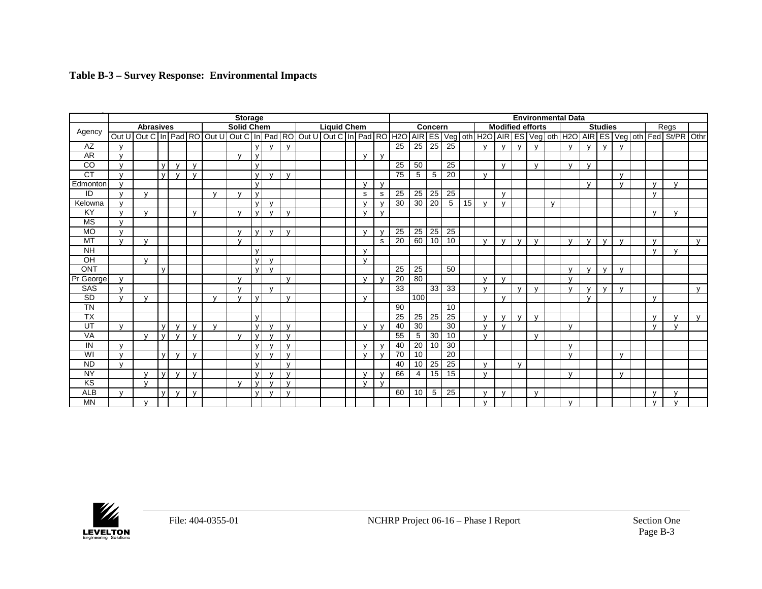|  |  |  | Table B-3 – Survey Response: Environmental Impacts |  |
|--|--|--|----------------------------------------------------|--|
|--|--|--|----------------------------------------------------|--|

|                                   | <b>Storage</b> |                  |              |              |              |              |                   |              |              |              |  |                    |  |              | <b>Environmental Data</b> |                 |     |         |                 |                 |              |                         |              |              |              |              |              |                |              |              |                                                                                                                                                                                                                                |              |
|-----------------------------------|----------------|------------------|--------------|--------------|--------------|--------------|-------------------|--------------|--------------|--------------|--|--------------------|--|--------------|---------------------------|-----------------|-----|---------|-----------------|-----------------|--------------|-------------------------|--------------|--------------|--------------|--------------|--------------|----------------|--------------|--------------|--------------------------------------------------------------------------------------------------------------------------------------------------------------------------------------------------------------------------------|--------------|
| Agency                            |                | <b>Abrasives</b> |              |              |              |              | <b>Solid Chem</b> |              |              |              |  | <b>Liquid Chem</b> |  |              |                           |                 |     | Concern |                 |                 |              | <b>Modified efforts</b> |              |              |              |              |              | <b>Studies</b> |              |              | Regs                                                                                                                                                                                                                           |              |
|                                   | Out U          |                  |              |              |              |              |                   |              |              |              |  |                    |  |              |                           |                 |     |         |                 |                 |              |                         |              |              |              |              |              |                |              |              | Out C   in   Pad   RO   Out U   Out C   in   Pad   RO   Out U   Out C   in   Pad   RO   H2O   AIR   ES   Veg   oth   H2O   AIR   ES   Veg   oth   H2O   AIR   ES   Veg   oth   H2O   AIR   ES   Veg   oth   Fed   St/PR   Othr |              |
| AZ                                | $\mathbf{v}$   |                  |              |              |              |              |                   | $\mathsf{v}$ | $\mathbf{v}$ | $\mathbf{v}$ |  |                    |  |              |                           | 25              | 25  | 25      | $\overline{25}$ |                 | $\mathbf{v}$ | $\mathbf{v}$            | $\mathbf{v}$ | $\mathbf{v}$ |              | $\mathbf{v}$ | $\mathbf{v}$ | $\mathbf{v}$   | $\mathbf{v}$ |              |                                                                                                                                                                                                                                |              |
| <b>AR</b>                         | $\mathbf{v}$   |                  |              |              |              |              | $\mathbf{v}$      | $\mathsf{v}$ |              |              |  |                    |  | $\mathsf{v}$ | $\mathbf v$               |                 |     |         |                 |                 |              |                         |              |              |              |              |              |                |              |              |                                                                                                                                                                                                                                |              |
| $\overline{c}$                    | $\mathbf{v}$   |                  | $\mathsf{v}$ | $\mathbf{v}$ | $\mathsf{V}$ |              |                   | $\mathsf{v}$ |              |              |  |                    |  |              |                           | $\overline{25}$ | 50  |         | 25              |                 |              | $\mathbf{v}$            |              | $\mathsf{v}$ |              | $\mathbf{v}$ | $\mathbf{v}$ |                |              |              |                                                                                                                                                                                                                                |              |
| <b>CT</b>                         | $\mathbf{v}$   |                  | $\mathbf{v}$ | $\mathbf{v}$ | $\mathsf{V}$ |              |                   | $\mathsf{v}$ | $\mathbf{v}$ | $\mathsf{v}$ |  |                    |  |              |                           | 75              | 5   | 5       | 20              |                 | $\mathbf{v}$ |                         |              |              |              |              |              |                | $\mathsf{v}$ |              |                                                                                                                                                                                                                                |              |
| Edmonton                          | $\mathbf{v}$   |                  |              |              |              |              |                   | $\mathsf{v}$ |              |              |  |                    |  | $\mathbf{v}$ | $\mathbf v$               |                 |     |         |                 |                 |              |                         |              |              |              |              | $\mathbf{v}$ |                | $\mathsf{v}$ | $\mathsf{v}$ | $\mathbf{v}$                                                                                                                                                                                                                   |              |
| ID                                | $\mathbf{v}$   |                  |              |              |              | $\mathbf{v}$ |                   | $\mathsf{v}$ |              |              |  |                    |  | s            | s                         | 25              | 25  | 25      | $\overline{25}$ |                 |              | $\mathbf{v}$            |              |              |              |              |              |                |              | $\mathsf{v}$ |                                                                                                                                                                                                                                |              |
| Kelowna                           | $\mathbf{v}$   |                  |              |              |              |              |                   | $\mathsf{v}$ | $\mathbf{v}$ |              |  |                    |  | $\mathbf v$  | $\mathbf{v}$              | 30              | 30  | 20      | 5               | 15 <sup>1</sup> | $\mathbf{v}$ | $\mathbf{v}$            |              |              | $\mathbf{v}$ |              |              |                |              |              |                                                                                                                                                                                                                                |              |
| KY                                | $\mathbf{v}$   |                  |              |              | $\mathsf{V}$ |              | $\mathbf{v}$      | $\mathsf{v}$ | $\mathbf{v}$ | $\mathsf{v}$ |  |                    |  | $\mathbf v$  | $\mathsf{v}$              |                 |     |         |                 |                 |              |                         |              |              |              |              |              |                |              | $\mathbf{v}$ |                                                                                                                                                                                                                                |              |
| <b>MS</b>                         | $\mathbf{v}$   |                  |              |              |              |              |                   |              |              |              |  |                    |  |              |                           |                 |     |         |                 |                 |              |                         |              |              |              |              |              |                |              |              |                                                                                                                                                                                                                                |              |
| <b>MO</b>                         | $\mathbf{v}$   |                  |              |              |              |              | $\mathbf{v}$      | $\vee$       | $\mathbf{v}$ | $\mathsf{v}$ |  |                    |  | $\mathsf{v}$ | $\mathbf v$               | 25              | 25  | 25      | 25              |                 |              |                         |              |              |              |              |              |                |              |              |                                                                                                                                                                                                                                |              |
| <b>MT</b>                         | $\mathbf{v}$   |                  |              |              |              |              |                   |              |              |              |  |                    |  |              | s                         | 20              | 60  | 10      | 10              |                 | $\mathbf{v}$ | $\mathbf{v}$            | $\mathbf{v}$ | $\mathbf{v}$ |              | $\mathbf{v}$ | $\mathbf{v}$ | $\mathbf{v}$   | $\mathbf{v}$ | $\mathsf{v}$ |                                                                                                                                                                                                                                | $\mathbf{v}$ |
| <b>NH</b>                         |                |                  |              |              |              |              |                   | $\mathsf{v}$ |              |              |  |                    |  | $\mathsf{v}$ |                           |                 |     |         |                 |                 |              |                         |              |              |              |              |              |                |              | $\mathbf{v}$ | $\mathbf{v}$                                                                                                                                                                                                                   |              |
| OH                                |                | $\mathbf{v}$     |              |              |              |              |                   | $\mathsf{v}$ | $\mathsf{v}$ |              |  |                    |  | $\mathsf{v}$ |                           |                 |     |         |                 |                 |              |                         |              |              |              |              |              |                |              |              |                                                                                                                                                                                                                                |              |
| <b>ONT</b>                        |                |                  | $\mathbf{v}$ |              |              |              |                   | $\vee$       | $\mathbf{v}$ |              |  |                    |  |              |                           | 25              | 25  |         | 50              |                 |              |                         |              |              |              | $\mathbf{v}$ | $\mathbf{v}$ | $\mathbf{v}$   | $\mathsf{v}$ |              |                                                                                                                                                                                                                                |              |
| Pr George                         | $\mathbf{v}$   |                  |              |              |              |              | $\mathbf{v}$      |              |              | $\mathbf{v}$ |  |                    |  | $\mathbf{v}$ | $\mathbf{v}$              | 20              | 80  |         |                 |                 | $\mathbf{v}$ | $\mathbf{v}$            |              |              |              | $\mathbf{v}$ |              |                |              |              |                                                                                                                                                                                                                                |              |
| <b>SAS</b>                        | $\mathbf{v}$   |                  |              |              |              |              | $\mathbf{v}$      |              | $\mathbf{v}$ |              |  |                    |  |              |                           | 33              |     | 33      | 33              |                 | $\mathbf{v}$ |                         | $\mathbf{v}$ | $\mathbf{v}$ |              | $\mathbf{v}$ | $\mathbf{v}$ | $\mathbf{v}$   | $\mathbf{v}$ |              |                                                                                                                                                                                                                                | $\mathbf{v}$ |
| $\overline{\text{SD}}$            | $\mathbf{v}$   | $\mathbf{v}$     |              |              |              | $\mathbf{v}$ | $\mathbf{v}$      | $\mathsf{v}$ |              | $\mathsf{v}$ |  |                    |  | $\mathsf{v}$ |                           |                 | 100 |         |                 |                 |              | $\mathbf{v}$            |              |              |              |              | $\mathbf{v}$ |                |              | $\mathbf{v}$ |                                                                                                                                                                                                                                |              |
| $\overline{\mathsf{T}}\mathsf{N}$ |                |                  |              |              |              |              |                   |              |              |              |  |                    |  |              |                           | 90              |     |         | 10              |                 |              |                         |              |              |              |              |              |                |              |              |                                                                                                                                                                                                                                |              |
| <b>TX</b>                         |                |                  |              |              |              |              |                   | $\mathsf{v}$ |              |              |  |                    |  |              |                           | 25              | 25  | 25      | 25              |                 | $\mathbf{v}$ | $\sqrt{ }$              | $\mathbf{v}$ | $\mathbf{v}$ |              |              |              |                |              | $\mathsf{V}$ |                                                                                                                                                                                                                                | $\mathsf{v}$ |
| UT                                | $\mathbf{v}$   |                  | $\mathsf{v}$ | $\mathbf{v}$ | $\mathbf{v}$ | $\mathbf{V}$ |                   | $\mathsf{v}$ | $\mathbf{v}$ | $\mathsf{v}$ |  |                    |  | $\mathbf{v}$ | $\mathbf{v}$              | 40              | 30  |         | 30              |                 | $\mathbf{v}$ | $\mathbf{v}$            |              |              |              | $\mathbf{v}$ |              |                |              | $\mathsf{V}$ | $\mathbf{v}$                                                                                                                                                                                                                   |              |
| <b>VA</b>                         |                | $\mathbf{v}$     | $\mathsf{v}$ | $\mathbf{v}$ | $\mathbf{v}$ |              | $\mathbf{v}$      | $\mathsf{v}$ | $\mathbf{v}$ | $\mathsf{v}$ |  |                    |  |              |                           | $\overline{55}$ | 5   | 30      | 10              |                 | $\mathbf{v}$ |                         |              | $\mathbf{v}$ |              |              |              |                |              |              |                                                                                                                                                                                                                                |              |
| IN                                | $\mathbf{v}$   |                  |              |              |              |              |                   | $\mathsf{v}$ | $\mathbf{v}$ | $\mathsf{v}$ |  |                    |  | $\mathbf{v}$ | $\mathbf{v}$              | 40              | 20  | 10      | 30              |                 |              |                         |              |              |              | $\mathbf{v}$ |              |                |              |              |                                                                                                                                                                                                                                |              |
| WI                                | $\mathbf{v}$   |                  | $\mathsf{V}$ | $\mathbf{v}$ | $\mathsf{V}$ |              |                   | $\mathsf{v}$ | $\mathbf{v}$ | $\mathbf v$  |  |                    |  | $\mathsf{v}$ | $\mathbf{v}$              | 70              | 10  |         | 20              |                 |              |                         |              |              |              | $\mathbf{v}$ |              |                | $\mathsf{v}$ |              |                                                                                                                                                                                                                                |              |
| <b>ND</b>                         | $\mathbf{v}$   |                  |              |              |              |              |                   | $\mathsf{v}$ |              | $\mathsf{v}$ |  |                    |  |              |                           | 40              | 10  | 25      | $\overline{25}$ |                 | $\mathbf{v}$ |                         | $\mathbf{v}$ |              |              |              |              |                |              |              |                                                                                                                                                                                                                                |              |
| <b>NY</b>                         |                |                  | $\mathsf{v}$ | $\mathbf{v}$ | $\mathbf{v}$ |              |                   | $\mathsf{v}$ | $\mathbf{v}$ | $\mathbf{v}$ |  |                    |  | $\mathbf{v}$ | $\mathbf{v}$              | 66              | 4   | 15      | 15              |                 | $\mathbf{v}$ |                         |              |              |              | $\mathbf{v}$ |              |                | $\mathbf{v}$ |              |                                                                                                                                                                                                                                |              |
| KS                                |                |                  |              |              |              |              | $\mathbf{v}$      | $\mathsf{v}$ | $\mathbf{v}$ | $\mathbf{v}$ |  |                    |  | $\mathbf{v}$ | $\mathbf{v}$              |                 |     |         |                 |                 |              |                         |              |              |              |              |              |                |              |              |                                                                                                                                                                                                                                |              |
| <b>ALB</b>                        | $\mathsf{v}$   |                  | $\mathbf{v}$ | $\mathbf{v}$ | $\mathsf{v}$ |              |                   | $\mathsf{v}$ | $\mathbf{v}$ | $\mathsf{v}$ |  |                    |  |              |                           | 60              | 10  | 5       | 25              |                 | $\mathbf{v}$ | $\mathbf{v}$            |              | $\mathsf{v}$ |              |              |              |                |              | $\mathsf{V}$ | $\mathbf{v}$                                                                                                                                                                                                                   |              |
| ΜN                                |                |                  |              |              |              |              |                   |              |              |              |  |                    |  |              |                           |                 |     |         |                 |                 | $\mathbf{v}$ |                         |              |              |              | $\mathbf{v}$ |              |                |              | $\mathsf{V}$ |                                                                                                                                                                                                                                |              |

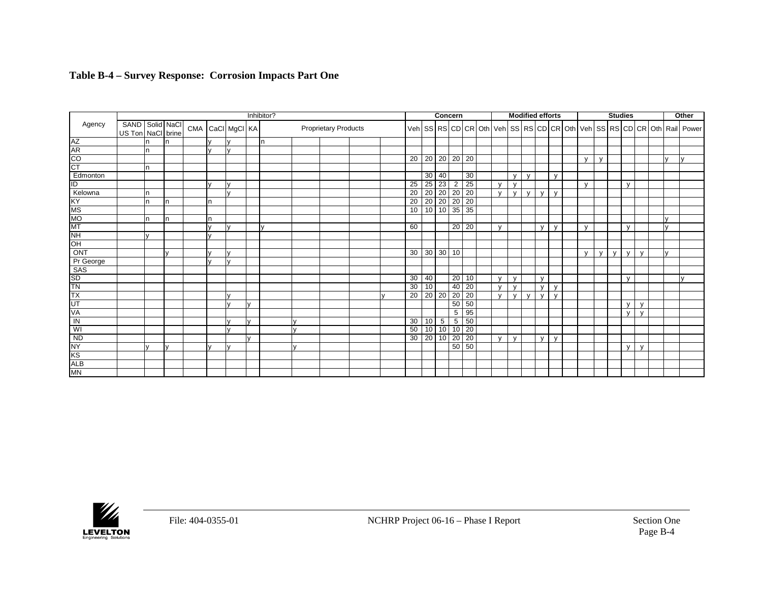### **Table B-4 – Survey Response: Corrosion Impacts Part One**

|                        |                   |          |              |                  |              |              | Inhibitor? |              |                             |  |  |                 |                      |                   | Concern         |                             |              |              | <b>Modified efforts</b> |              |              |              |              |   | <b>Studies</b> |              |              | Other                                                                  |
|------------------------|-------------------|----------|--------------|------------------|--------------|--------------|------------|--------------|-----------------------------|--|--|-----------------|----------------------|-------------------|-----------------|-----------------------------|--------------|--------------|-------------------------|--------------|--------------|--------------|--------------|---|----------------|--------------|--------------|------------------------------------------------------------------------|
| Agency                 | SAND Solid NaCl   |          |              | CMA CaCI MgCI KA |              |              |            |              | <b>Proprietary Products</b> |  |  |                 |                      |                   |                 |                             |              |              |                         |              |              |              |              |   |                |              |              | Veh SS RS CD CR Oth Veh SS RS CD CR Oth Veh SS RS CD CR Oth Rail Power |
|                        | US Ton NaCl brine |          |              |                  |              |              |            |              |                             |  |  |                 |                      |                   |                 |                             |              |              |                         |              |              |              |              |   |                |              |              |                                                                        |
| AZ<br>AR               |                   | In       | n            |                  | $\mathbf{v}$ |              | In.        |              |                             |  |  |                 |                      |                   |                 |                             |              |              |                         |              |              |              |              |   |                |              |              |                                                                        |
|                        |                   | n        |              |                  | $\mathbf{v}$ |              |            |              |                             |  |  |                 |                      |                   |                 |                             |              |              |                         |              |              |              |              |   |                |              |              |                                                                        |
| $\overline{c}$         |                   |          |              |                  |              |              |            |              |                             |  |  |                 | $20 \mid 20 \mid 20$ |                   |                 | $20 \overline{20}$          |              |              |                         |              |              | $\mathbf{v}$ | $\mathbf{v}$ |   |                |              |              |                                                                        |
| $\overline{\text{CT}}$ |                   | In       |              |                  |              |              |            |              |                             |  |  |                 |                      |                   |                 |                             |              |              |                         |              |              |              |              |   |                |              |              |                                                                        |
| Edmonton               |                   |          |              |                  |              |              |            |              |                             |  |  |                 |                      | $30 \mid 40$      |                 | 30                          |              | $\mathsf{V}$ | $\mathsf{v}$            |              | $\mathsf{v}$ |              |              |   |                |              |              |                                                                        |
| $\overline{1}$         |                   |          |              |                  | $\mathbf{v}$ |              |            |              |                             |  |  | 25              | 25                   | $\overline{23}$   | $\overline{2}$  | 25                          | $\mathbf{v}$ | $\mathsf{V}$ |                         |              |              | $\mathsf{V}$ |              |   | $\mathsf{v}$   |              |              |                                                                        |
| Kelowna                |                   | <b>n</b> |              |                  |              |              |            |              |                             |  |  | 20              | $\overline{20}$      | 20                | 20              | 20                          | $\mathbf{v}$ | $\mathsf{V}$ | $\mathsf{V}$            | $\mathbf{v}$ | $\mathsf{v}$ |              |              |   |                |              |              |                                                                        |
| KY                     |                   | <b>n</b> | n            |                  | n            |              |            |              |                             |  |  | 20              |                      | $20\overline{20}$ | $\overline{20}$ | 20                          |              |              |                         |              |              |              |              |   |                |              |              |                                                                        |
| $\overline{\text{MS}}$ |                   |          |              |                  |              |              |            |              |                             |  |  | 10              | 10 <sup>1</sup>      | 10                |                 | $35 \overline{\smash{)}35}$ |              |              |                         |              |              |              |              |   |                |              |              |                                                                        |
| MO                     |                   | In.      | n            |                  | n            |              |            |              |                             |  |  |                 |                      |                   |                 |                             |              |              |                         |              |              |              |              |   |                |              | I۷           |                                                                        |
| MT                     |                   |          |              |                  | $\mathbf{v}$ |              |            |              |                             |  |  | 60              |                      |                   | 20              | 20                          | $\mathbf{V}$ |              |                         | $\mathbf v$  | $\mathbf{v}$ | $\mathsf{v}$ |              |   | $\mathsf{v}$   |              | I۷           |                                                                        |
| $\overline{NH}$        |                   |          |              |                  |              |              |            |              |                             |  |  |                 |                      |                   |                 |                             |              |              |                         |              |              |              |              |   |                |              |              |                                                                        |
| OH                     |                   |          |              |                  |              |              |            |              |                             |  |  |                 |                      |                   |                 |                             |              |              |                         |              |              |              |              |   |                |              |              |                                                                        |
| ONT                    |                   |          | $\mathbf{v}$ |                  | $\mathbf{v}$ |              |            |              |                             |  |  |                 |                      | 30   30   30   10 |                 |                             |              |              |                         |              |              | $\mathsf{v}$ | $\mathsf{v}$ | V | $\mathsf{v}$   | $\mathsf{v}$ | $\mathbf{v}$ |                                                                        |
| Pr George              |                   |          |              |                  | $\mathbf{v}$ |              |            |              |                             |  |  |                 |                      |                   |                 |                             |              |              |                         |              |              |              |              |   |                |              |              |                                                                        |
| SAS                    |                   |          |              |                  |              |              |            |              |                             |  |  |                 |                      |                   |                 |                             |              |              |                         |              |              |              |              |   |                |              |              |                                                                        |
| <b>SD</b>              |                   |          |              |                  |              |              |            |              |                             |  |  | 30              | 40                   |                   | 20              | 10                          | $\mathbf{v}$ | $\mathsf{V}$ |                         | $\mathbf{v}$ |              |              |              |   | $\mathsf{V}$   |              |              |                                                                        |
| <b>TN</b>              |                   |          |              |                  |              |              |            |              |                             |  |  | 30              | 10                   |                   | 40              | 20                          | $\mathbf{v}$ | y            |                         | $\mathbf v$  | y            |              |              |   |                |              |              |                                                                        |
| <b>TX</b>              |                   |          |              |                  |              |              |            |              |                             |  |  | $\overline{20}$ | 20 <sup>1</sup>      | 20                | $\overline{20}$ | 20                          | $\mathbf{v}$ | $\mathbf{V}$ | $\mathbf{v}$            | $\mathbf{v}$ | $\mathsf{v}$ |              |              |   |                |              |              |                                                                        |
| UT                     |                   |          |              |                  |              | I٧           |            |              |                             |  |  |                 |                      |                   | 50              | 50                          |              |              |                         |              |              |              |              |   | $\mathsf{v}$   | $\mathsf{v}$ |              |                                                                        |
| <b>VA</b>              |                   |          |              |                  |              |              |            |              |                             |  |  |                 |                      |                   | 5               | $\overline{95}$             |              |              |                         |              |              |              |              |   | $\mathsf{V}$   | $\mathsf{V}$ |              |                                                                        |
| $\overline{z}$         |                   |          |              |                  |              | $\mathbf{v}$ |            |              |                             |  |  | 30              | 10                   | 5                 | $5\phantom{.0}$ | 50                          |              |              |                         |              |              |              |              |   |                |              |              |                                                                        |
| WI                     |                   |          |              |                  |              |              |            | $\mathbf{v}$ |                             |  |  | 50              | 10 <sup>1</sup>      | 10                |                 | $10 \overline{\smash{)}20}$ |              |              |                         |              |              |              |              |   |                |              |              |                                                                        |
| <b>ND</b>              |                   |          |              |                  |              | $\mathbf{v}$ |            |              |                             |  |  | 30              | 20                   | 10                | 20              | 20                          | $\mathbf{v}$ | $\mathsf{v}$ |                         | $\mathbf{v}$ | $\mathsf{V}$ |              |              |   |                |              |              |                                                                        |
| <b>NY</b>              |                   | lv       | $\mathbf{v}$ |                  |              |              |            | $\mathbf{v}$ |                             |  |  |                 |                      |                   | 50              | 50                          |              |              |                         |              |              |              |              |   | $\mathsf{v}$   | $\mathsf{v}$ |              |                                                                        |
| K <sub>S</sub>         |                   |          |              |                  |              |              |            |              |                             |  |  |                 |                      |                   |                 |                             |              |              |                         |              |              |              |              |   |                |              |              |                                                                        |
|                        |                   |          |              |                  |              |              |            |              |                             |  |  |                 |                      |                   |                 |                             |              |              |                         |              |              |              |              |   |                |              |              |                                                                        |
| ALB<br>MN              |                   |          |              |                  |              |              |            |              |                             |  |  |                 |                      |                   |                 |                             |              |              |                         |              |              |              |              |   |                |              |              |                                                                        |

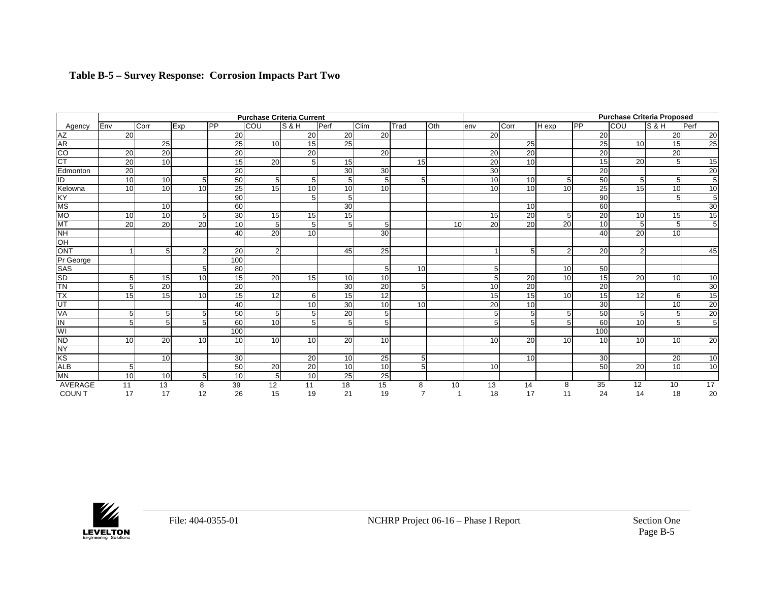|                                       |                 |                 |                 |                 | <b>Purchase Criteria Current</b> | <b>Purchase Criteria Proposed</b> |                 |                 |                |                 |                 |                 |                 |                        |                 |                 |                 |
|---------------------------------------|-----------------|-----------------|-----------------|-----------------|----------------------------------|-----------------------------------|-----------------|-----------------|----------------|-----------------|-----------------|-----------------|-----------------|------------------------|-----------------|-----------------|-----------------|
| Agency                                | Env             | Corr            | Exp             | <b>IPP</b>      | COU                              | S&H                               | Perf            | <b>Clim</b>     | Trad           | <b>Oth</b>      | lenv            | Corr            | $H$ exp         | $\overline{\text{PP}}$ | <b>ICOU</b>     | ls & H          | Perf            |
|                                       | 20              |                 |                 | 20              |                                  | 20                                | 20              | 20              |                |                 | 20              |                 |                 | 20                     |                 | 20              | 20              |
|                                       |                 | 25              |                 | 25              | 10 <sup>1</sup>                  | 15                                | 25              |                 |                |                 |                 | 25              |                 | $\overline{25}$        | 10              | 15              | 25              |
| AZ<br>AR<br>CO                        | 20              | 20              |                 | 20              |                                  | 20                                |                 | 20              |                |                 | 20              | 20              |                 | 20                     |                 | 20              |                 |
| СT                                    | $\overline{20}$ | 10              |                 | 15              | 20                               | 5 <sub>l</sub>                    | 15              |                 | 15             |                 | $\overline{20}$ | 10 <sup>1</sup> |                 | 15                     | $\overline{20}$ | 5 <sup>5</sup>  | 15              |
| Edmonton                              | 20              |                 |                 | 20              |                                  |                                   | 30              | 30              |                |                 | 30              |                 |                 | 20                     |                 |                 | 20              |
| ID                                    | 10              | 10              | 5               | 50              | 5 <sub>l</sub>                   | 5 <sub>l</sub>                    | 5               | 5 <sub>l</sub>  | 5 <sub>l</sub> |                 | 10              | 10 <sup>1</sup> | 5 <sub>l</sub>  | 50                     | 5               | 5               | $\overline{5}$  |
| Kelowna                               | 10              | 10              | 10 <sup>1</sup> | 25              | 15                               | 10                                | 10              | 10 <sup>1</sup> |                |                 | 10              | 10 <sup>1</sup> | 10 <sup>1</sup> | $\overline{25}$        | 15              | $\overline{10}$ | 10              |
|                                       |                 |                 |                 | 90              |                                  | 5 <sub>l</sub>                    | 5 <sup>5</sup>  |                 |                |                 |                 |                 |                 | $\overline{90}$        |                 | 5               | $\overline{5}$  |
| KY<br>MS<br>MO                        |                 | 10              |                 | 60              |                                  |                                   | 30              |                 |                |                 |                 | 10 <sup>1</sup> |                 | 60                     |                 |                 | 30              |
|                                       | 10              | 10              | 5               | 30              | 15                               | 15                                | 15              |                 |                |                 | 15              | 20              | 5 <sup>1</sup>  | 20                     | 10              | 15              | 15              |
| MT<br>NH                              | $\overline{20}$ | $\overline{20}$ | 20              | 10 <sup>1</sup> | 5 <sup>1</sup>                   | 5 <sub>l</sub>                    | 5 <sup>1</sup>  | 5 <sup>1</sup>  |                | 10 <sup>1</sup> | 20 <sup>1</sup> | 20              | 20              | 10 <sup>1</sup>        | 5               | 5 <sup>1</sup>  | $\overline{5}$  |
|                                       |                 |                 |                 | 40              | 20                               | 10 <sup>1</sup>                   |                 | 30              |                |                 |                 |                 |                 | 40                     | 20              | 10              |                 |
| OH                                    |                 |                 |                 |                 |                                  |                                   |                 |                 |                |                 |                 |                 |                 |                        |                 |                 |                 |
| ONT                                   |                 | 5 <sup>1</sup>  | $\overline{2}$  | 20              | 2 <sub>l</sub>                   |                                   | 45              | 25              |                |                 | $\overline{ }$  | 5 <sup>1</sup>  | $\overline{2}$  | 20                     | $\overline{2}$  |                 | 45              |
| Pr George                             |                 |                 |                 | 100             |                                  |                                   |                 |                 |                |                 |                 |                 |                 |                        |                 |                 |                 |
| <b>SAS</b>                            |                 |                 | 5               | 80              |                                  |                                   |                 | 5 <sup>1</sup>  | 10             |                 | 5               |                 | 10 <sup>1</sup> | 50                     |                 |                 |                 |
| SD<br>TN                              | 5 <sub>l</sub>  | 15              | 10 <sup>1</sup> | 15 <sup>1</sup> | <b>20</b>                        | 15 <sup>1</sup>                   | 10 <sup>1</sup> | 10 <sup>1</sup> |                |                 | 5               | 20              | 10 <sup>1</sup> | 15                     | $\overline{20}$ | 10 <sup>1</sup> | 10              |
|                                       | 5 <sub>l</sub>  | 20              |                 | 20              |                                  |                                   | 30              | 20              | 5 <sub>l</sub> |                 | 10 <sup>1</sup> | 20              |                 | 20                     |                 |                 | 30              |
| TX                                    | 15              | 15              | 10 <sup>1</sup> | 15              | 12                               | $6 \mid$                          | 15              | $\overline{12}$ |                |                 | 15              | 15              | 10 <sup>1</sup> | 15                     | 12              | 6 <sup>1</sup>  | 15              |
| $\frac{\overline{UT}}{\overline{VA}}$ |                 |                 |                 | 40              |                                  | 10                                | 30              | 10              | 10             |                 | $\overline{20}$ | 10 <sup>1</sup> |                 | 30                     |                 | 10              | $\overline{20}$ |
|                                       | 5 <sub>l</sub>  | 5 <sup>1</sup>  | 5               | 50              | 5 <sub>l</sub>                   | 5                                 | 20              | 5 <sup>1</sup>  |                |                 | 5               | 5 <sup>1</sup>  | 5 <sub>l</sub>  | 50                     | 5 <sup>5</sup>  | 5               | $\overline{20}$ |
|                                       | 5 <sub>l</sub>  | 5 <sup>1</sup>  | 5               | 60              | 10 <sup>1</sup>                  | 5                                 | 5               | 5 <sup>1</sup>  |                |                 | 5               |                 | 5 <sup>1</sup>  | 60                     | 10              | 5               | $\overline{5}$  |
| WI                                    |                 |                 |                 | 100             |                                  |                                   |                 |                 |                |                 |                 |                 |                 | 100                    |                 |                 |                 |
| $\frac{ND}{NY}$                       | 10              | 20              | 10 <sup>1</sup> | 10 <sup>1</sup> | 10 <sup>1</sup>                  | 10 <sup>1</sup>                   | 20              | 10 <sup>1</sup> |                |                 | 10 <sup>1</sup> | 20              | 10 <sup>1</sup> | 10 <sup>1</sup>        | 10 <sup>1</sup> | 10 <sup>1</sup> | 20              |
|                                       |                 |                 |                 |                 |                                  |                                   |                 |                 |                |                 |                 |                 |                 |                        |                 |                 |                 |
| KS                                    |                 | 10 <sup>1</sup> |                 | 30              |                                  | 20                                | 10              | 25              | 5 <sub>l</sub> |                 |                 | 10 <sup>1</sup> |                 | 30 <sup>1</sup>        |                 | 20              | 10              |
| <b>ALB</b>                            | 5 <sub>l</sub>  |                 |                 | 50              | 20                               | 20                                | 10              | 10              | 5 <sub>l</sub> |                 | 10              |                 |                 | 50                     | $\overline{20}$ | 10              | 10              |
| MN                                    | 10              | 10              | 5               | 10 <sup>1</sup> | 5 <sub>l</sub>                   | 10                                | 25              | 25              |                |                 |                 |                 |                 |                        |                 |                 |                 |
| AVERAGE                               | 11              | $\overline{13}$ | 8               | 39              | 12                               | 11                                | 18              | 15              | 8              | 10              | 13              | 14              | 8               | 35                     | 12              | 10              | $\overline{17}$ |
| <b>COUNT</b>                          | 17              | 17              | 12              | 26              | 15                               | 19                                | 21              | 19              |                |                 | 18              | 17              | 11              | 24                     | 14              | 18              | 20              |

### **Table B-5 – Survey Response: Corrosion Impacts Part Two**